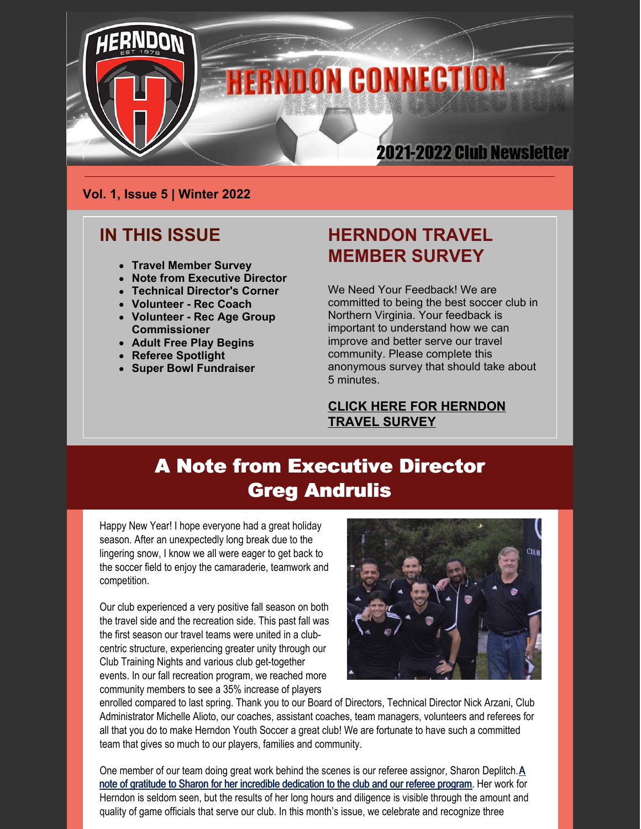

### **Vol. 1, Issue 5 | Winter 2022**

### **IN THIS ISSUE**

- **Travel Member Survey**
- **Note from Executive Director**
- **Technical Director's Corner**
- **Volunteer - Rec Coach**
- **Volunteer - Rec Age Group Commissioner**
- **Adult Free Play Begins**
- **Referee Spotlight**
- **Super Bowl Fundraiser**

### **HERNDON TRAVEL MEMBER SURVEY**

We Need Your Feedback! We are committed to being the best soccer club in Northern Virginia. Your feedback is important to understand how we can improve and better serve our travel community. Please complete this anonymous survey that should take about 5 minutes.

**CLICK HERE FOR [HERNDON](https://forms.gle/39Kwe1VpvjdDG5JHA) TRAVEL SURVEY**

# A Note from Executive Director Greg Andrulis

Happy New Year! I hope everyone had a great holiday season. After an unexpectedly long break due to the lingering snow, I know we all were eager to get back to the soccer field to enjoy the camaraderie, teamwork and competition.

Our club experienced a very positive fall season on both the travel side and the recreation side. This past fall was the first season our travel teams were united in a clubcentric structure, experiencing greater unity through our Club Training Nights and various club get-together events. In our fall recreation program, we reached more community members to see a 35% increase of players



enrolled compared to last spring. Thank you to our Board of Directors, Technical Director Nick Arzani, Club Administrator Michelle Alioto, our coaches, assistant coaches, team managers, volunteers and referees for all that you do to make Herndon Youth Soccer a great club! We are fortunate to have such a committed team that gives so much to our players, families and community.

One member of our team doing great work behind the scenes is our referee assignor, Sharon [Deplitch.A](https://herndonyouthsoccer.demosphere-secure.com/referees) note of gratitude to Sharon for her incredible dedication to the club and our referee program. Her work for Herndon is seldom seen, but the results of her long hours and diligence is visible through the amount and quality of game officials that serve our club. In this month's issue, we celebrate and recognize three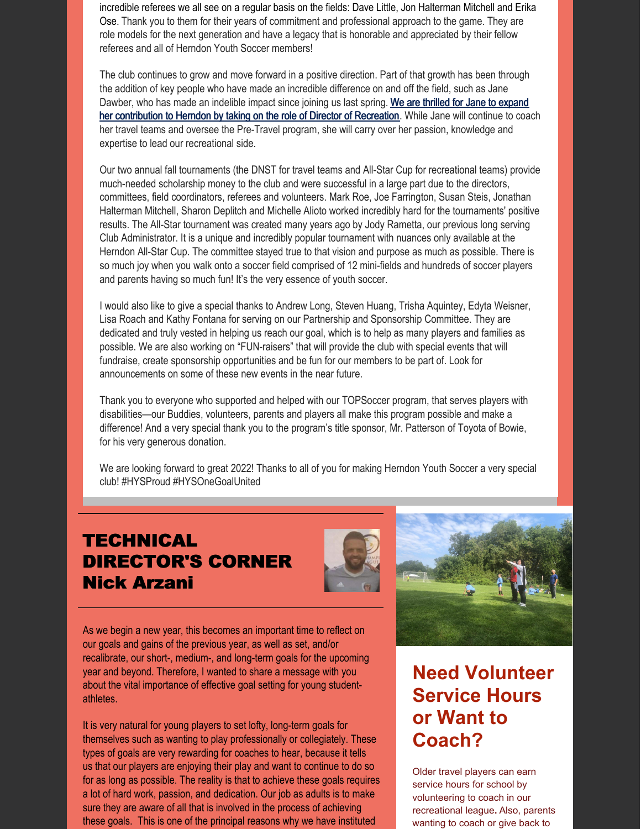incredible referees we all see on a regular basis on the fields: Dave Little, Jon Halterman Mitchell and Erika Ose. Thank you to them for their years of commitment and professional approach to the game. They are role models for the next generation and have a legacy that is honorable and appreciated by their fellow referees and all of Herndon Youth Soccer members!

The club continues to grow and move forward in a positive direction. Part of that growth has been through the addition of key people who have made an incredible difference on and off the field, such as Jane Dawber, who has made an indelible impact since joining us last spring. We are thrilled for Jane to expand her contribution to Herndon by taking on the role of Director of [Recreation.](https://herndonyouthsoccer.demosphere-secure.com/recreation/staff/director-of-recreation) While Jane will continue to coach her travel teams and oversee the Pre-Travel program, she will carry over her passion, knowledge and expertise to lead our recreational side.

Our two annual fall tournaments (the DNST for travel teams and All-Star Cup for recreational teams) provide much-needed scholarship money to the club and were successful in a large part due to the directors, committees, field coordinators, referees and volunteers. Mark Roe, Joe Farrington, Susan Steis, Jonathan Halterman Mitchell, Sharon Deplitch and Michelle Alioto worked incredibly hard for the tournaments' positive results. The All-Star tournament was created many years ago by Jody Rametta, our previous long serving Club Administrator. It is a unique and incredibly popular tournament with nuances only available at the Herndon All-Star Cup. The committee stayed true to that vision and purpose as much as possible. There is so much joy when you walk onto a soccer field comprised of 12 mini-fields and hundreds of soccer players and parents having so much fun! It's the very essence of youth soccer.

I would also like to give a special thanks to Andrew Long, Steven Huang, Trisha Aquintey, Edyta Weisner, Lisa Roach and Kathy Fontana for serving on our Partnership and Sponsorship Committee. They are dedicated and truly vested in helping us reach our goal, which is to help as many players and families as possible. We are also working on "FUN-raisers" that will provide the club with special events that will fundraise, create sponsorship opportunities and be fun for our members to be part of. Look for announcements on some of these new events in the near future.

Thank you to everyone who supported and helped with our TOPSoccer program, that serves players with disabilities—our Buddies, volunteers, parents and players all make this program possible and make a difference! And a very special thank you to the program's title sponsor, Mr. Patterson of Toyota of Bowie, for his very generous donation.

We are looking forward to great 2022! Thanks to all of you for making Herndon Youth Soccer a very special club! #HYSProud #HYSOneGoalUnited

## **TECHNICAL** DIRECTOR'S CORNER Nick Arzani



As we begin a new year, this becomes an important time to reflect on our goals and gains of the previous year, as well as set, and/or recalibrate, our short-, medium-, and long-term goals for the upcoming year and beyond. Therefore, I wanted to share a message with you about the vital importance of effective goal setting for young studentathletes.

It is very natural for young players to set lofty, long-term goals for themselves such as wanting to play professionally or collegiately. These types of goals are very rewarding for coaches to hear, because it tells us that our players are enjoying their play and want to continue to do so for as long as possible. The reality is that to achieve these goals requires a lot of hard work, passion, and dedication. Our job as adults is to make sure they are aware of all that is involved in the process of achieving these goals. This is one of the principal reasons why we have instituted

# **Need Volunteer Service Hours or Want to Coach?**

Older travel players can earn service hours for school by volunteering to coach in our recreational league**.** Also, parents wanting to coach or give back to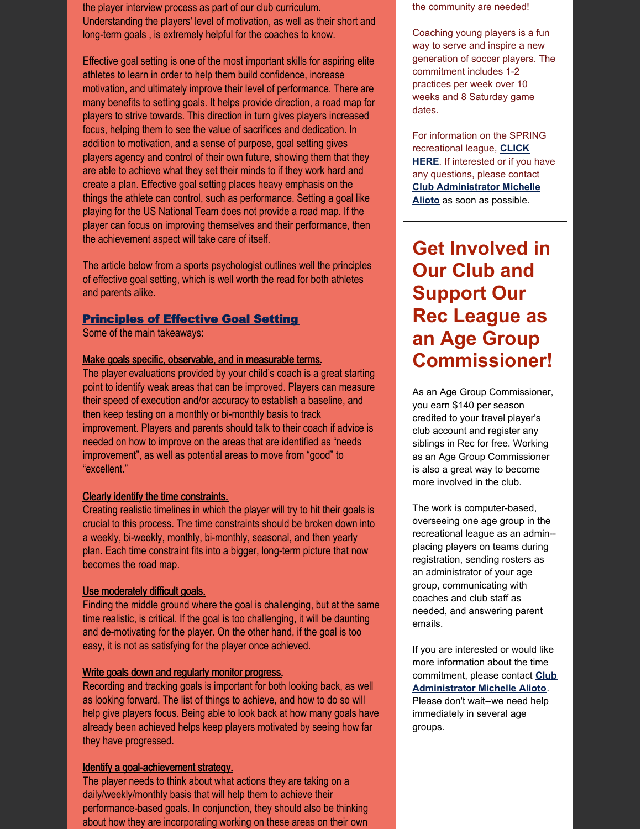the player interview process as part of our club curriculum. Understanding the players' level of motivation, as well as their short and long-term goals , is extremely helpful for the coaches to know.

Effective goal setting is one of the most important skills for aspiring elite athletes to learn in order to help them build confidence, increase motivation, and ultimately improve their level of performance. There are many benefits to setting goals. It helps provide direction, a road map for players to strive towards. This direction in turn gives players increased focus, helping them to see the value of sacrifices and dedication. In addition to motivation, and a sense of purpose, goal setting gives players agency and control of their own future, showing them that they are able to achieve what they set their minds to if they work hard and create a plan. Effective goal setting places heavy emphasis on the things the athlete can control, such as performance. Setting a goal like playing for the US National Team does not provide a road map. If the player can focus on improving themselves and their performance, then the achievement aspect will take care of itself.

The article below from a sports psychologist outlines well the principles of effective goal setting, which is well worth the read for both athletes and parents alike.

#### **[Principles](https://appliedsportpsych.org/resources/resources-for-athletes/principles-of-effective-goal-setting/) of Effective Goal Setting**

Some of the main takeaways:

#### Make goals specific, observable, and in measurable terms.

The player evaluations provided by your child's coach is a great starting point to identify weak areas that can be improved. Players can measure their speed of execution and/or accuracy to establish a baseline, and then keep testing on a monthly or bi-monthly basis to track improvement. Players and parents should talk to their coach if advice is needed on how to improve on the areas that are identified as "needs improvement", as well as potential areas to move from "good" to "excellent."

### Clearly identify the time constraints.

Creating realistic timelines in which the player will try to hit their goals is crucial to this process. The time constraints should be broken down into a weekly, bi-weekly, monthly, bi-monthly, seasonal, and then yearly plan. Each time constraint fits into a bigger, long-term picture that now becomes the road map.

#### Use moderately difficult goals.

Finding the middle ground where the goal is challenging, but at the same time realistic, is critical. If the goal is too challenging, it will be daunting and de-motivating for the player. On the other hand, if the goal is too easy, it is not as satisfying for the player once achieved.

#### Write goals down and regularly monitor progress.

Recording and tracking goals is important for both looking back, as well as looking forward. The list of things to achieve, and how to do so will help give players focus. Being able to look back at how many goals have already been achieved helps keep players motivated by seeing how far they have progressed.

### Identify a goal-achievement strategy.

The player needs to think about what actions they are taking on a daily/weekly/monthly basis that will help them to achieve their performance-based goals. In conjunction, they should also be thinking about how they are incorporating working on these areas on their own

the community are needed!

Coaching young players is a fun way to serve and inspire a new generation of soccer players. The commitment includes 1-2 practices per week over 10 weeks and 8 Saturday game dates.

For information on the SPRING [recreational](https://herndonyouthsoccer.org/recreation/spring-2022-information) league, **CLICK HERE**. If interested or if you have any questions, please contact **Club [Administrator](mailto:mjalioto@gmail.com) Michelle Alioto** as soon as possible.

## **Get Involved in Our Club and Support Our Rec League as an Age Group Commissioner!**

As an Age Group Commissioner, you earn \$140 per season credited to your travel player's club account and register any siblings in Rec for free. Working as an Age Group Commissioner is also a great way to become more involved in the club.

The work is computer-based, overseeing one age group in the recreational league as an admin- placing players on teams during registration, sending rosters as an administrator of your age group, communicating with coaches and club staff as needed, and answering parent emails.

If you are interested or would like more information about the time commitment, please contact **Club [Administrator](mailto:mjalioto@gmail.com) Michelle Alioto**. Please don't wait--we need help immediately in several age groups.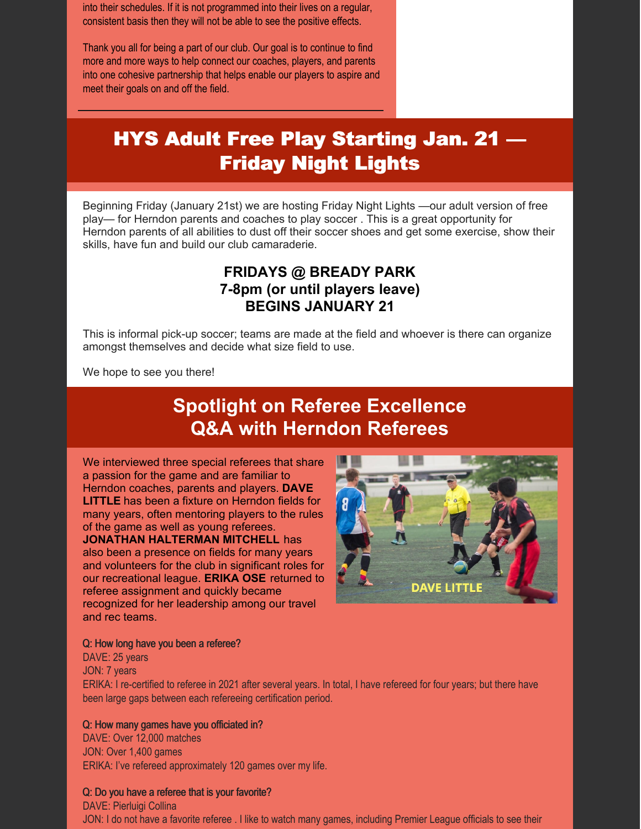into their schedules. If it is not programmed into their lives on a regular, consistent basis then they will not be able to see the positive effects.

Thank you all for being a part of our club. Our goal is to continue to find more and more ways to help connect our coaches, players, and parents into one cohesive partnership that helps enable our players to aspire and meet their goals on and off the field.

# HYS Adult Free Play Starting Jan. 21 — Friday Night Lights

Beginning Friday (January 21st) we are hosting Friday Night Lights —our adult version of free play— for Herndon parents and coaches to play soccer . This is a great opportunity for Herndon parents of all abilities to dust off their soccer shoes and get some exercise, show their skills, have fun and build our club camaraderie.

### **FRIDAYS @ BREADY PARK 7-8pm (or until players leave) BEGINS JANUARY 21**

This is informal pick-up soccer; teams are made at the field and whoever is there can organize amongst themselves and decide what size field to use.

We hope to see you there!

## **Spotlight on Referee Excellence Q&A with Herndon Referees**

We interviewed three special referees that share a passion for the game and are familiar to Herndon coaches, parents and players. **DAVE LITTLE** has been a fixture on Herndon fields for many years, often mentoring players to the rules of the game as well as young referees. **JONATHAN HALTERMAN MITCHELL** has also been a presence on fields for many years and volunteers for the club in significant roles for our recreational league. **ERIKA OSE** returned to referee assignment and quickly became recognized for her leadership among our travel and rec teams.



### Q: How long have you been a referee?

DAVE: 25 years JON: 7 years ERIKA: I re-certified to referee in 2021 after several years. In total, I have refereed for four years; but there have been large gaps between each refereeing certification period.

### Q: How many games have you officiated in?

DAVE: Over 12,000 matches JON: Over 1,400 games ERIKA: I've refereed approximately 120 games over my life.

### Q: Do you have a referee that is your favorite?

DAVE: Pierluigi Collina JON: I do not have a favorite referee . I like to watch many games, including Premier League officials to see their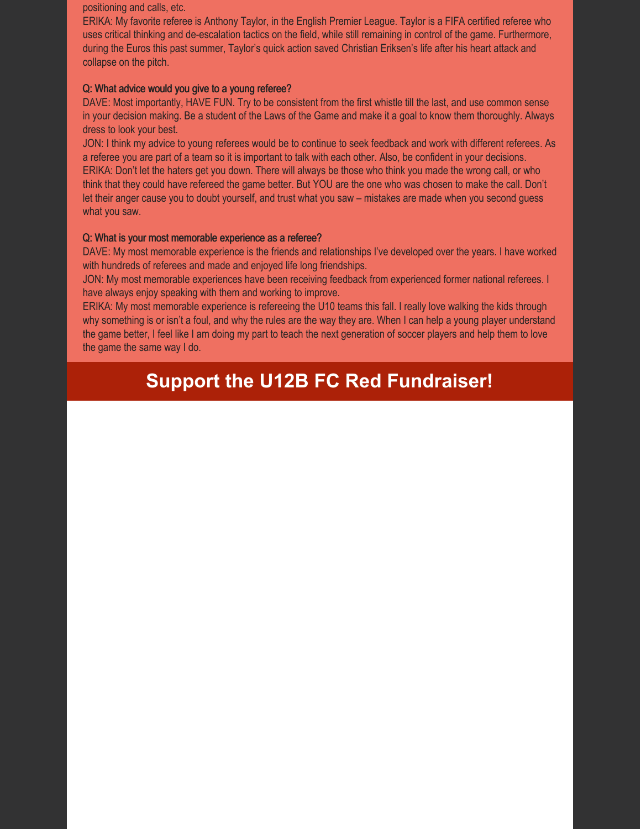positioning and calls, etc.

ERIKA: My favorite referee is Anthony Taylor, in the English Premier League. Taylor is a FIFA certified referee who uses critical thinking and de-escalation tactics on the field, while still remaining in control of the game. Furthermore, during the Euros this past summer, Taylor's quick action saved Christian Eriksen's life after his heart attack and collapse on the pitch.

### Q: What advice would you give to a young referee?

DAVE: Most importantly, HAVE FUN. Try to be consistent from the first whistle till the last, and use common sense in your decision making. Be a student of the Laws of the Game and make it a goal to know them thoroughly. Always dress to look your best.

JON: I think my advice to young referees would be to continue to seek feedback and work with different referees. As a referee you are part of a team so it is important to talk with each other. Also, be confident in your decisions. ERIKA: Don't let the haters get you down. There will always be those who think you made the wrong call, or who think that they could have refereed the game better. But YOU are the one who was chosen to make the call. Don't let their anger cause you to doubt yourself, and trust what you saw – mistakes are made when you second guess what you saw.

### Q: What is your most memorable experience as a referee?

DAVE: My most memorable experience is the friends and relationships I've developed over the years. I have worked with hundreds of referees and made and enjoyed life long friendships.

JON: My most memorable experiences have been receiving feedback from experienced former national referees. I have always enjoy speaking with them and working to improve.

ERIKA: My most memorable experience is refereeing the U10 teams this fall. I really love walking the kids through why something is or isn't a foul, and why the rules are the way they are. When I can help a young player understand the game better, I feel like I am doing my part to teach the next generation of soccer players and help them to love the game the same way I do.

# **Support the U12B FC Red Fundraiser!**